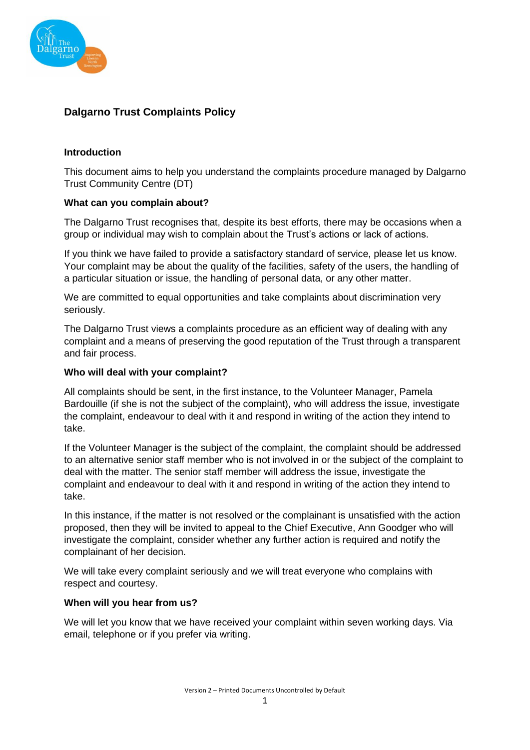

# **Dalgarno Trust Complaints Policy**

## **Introduction**

This document aims to help you understand the complaints procedure managed by Dalgarno Trust Community Centre (DT)

## **What can you complain about?**

The Dalgarno Trust recognises that, despite its best efforts, there may be occasions when a group or individual may wish to complain about the Trust's actions or lack of actions.

If you think we have failed to provide a satisfactory standard of service, please let us know. Your complaint may be about the quality of the facilities, safety of the users, the handling of a particular situation or issue, the handling of personal data, or any other matter.

We are committed to equal opportunities and take complaints about discrimination very seriously.

The Dalgarno Trust views a complaints procedure as an efficient way of dealing with any complaint and a means of preserving the good reputation of the Trust through a transparent and fair process.

## **Who will deal with your complaint?**

All complaints should be sent, in the first instance, to the Volunteer Manager, Pamela Bardouille (if she is not the subject of the complaint), who will address the issue, investigate the complaint, endeavour to deal with it and respond in writing of the action they intend to take.

If the Volunteer Manager is the subject of the complaint, the complaint should be addressed to an alternative senior staff member who is not involved in or the subject of the complaint to deal with the matter. The senior staff member will address the issue, investigate the complaint and endeavour to deal with it and respond in writing of the action they intend to take.

In this instance, if the matter is not resolved or the complainant is unsatisfied with the action proposed, then they will be invited to appeal to the Chief Executive, Ann Goodger who will investigate the complaint, consider whether any further action is required and notify the complainant of her decision.

We will take every complaint seriously and we will treat everyone who complains with respect and courtesy.

## **When will you hear from us?**

We will let you know that we have received your complaint within seven working days. Via email, telephone or if you prefer via writing.